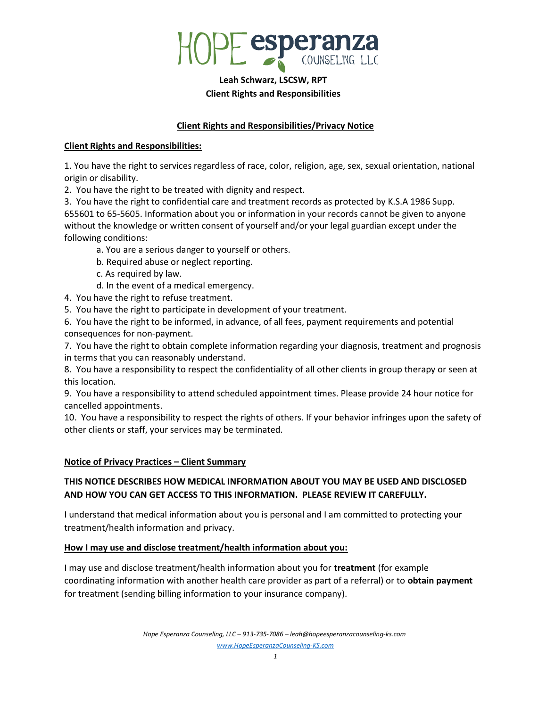

# Leah Schwarz, LSCSW, RPT Client Rights and Responsibilities

## Client Rights and Responsibilities/Privacy Notice

### Client Rights and Responsibilities:

1. You have the right to services regardless of race, color, religion, age, sex, sexual orientation, national origin or disability.

2. You have the right to be treated with dignity and respect.

3. You have the right to confidential care and treatment records as protected by K.S.A 1986 Supp. 655601 to 65-5605. Information about you or information in your records cannot be given to anyone without the knowledge or written consent of yourself and/or your legal guardian except under the following conditions:

a. You are a serious danger to yourself or others.

b. Required abuse or neglect reporting.

c. As required by law.

d. In the event of a medical emergency.

4. You have the right to refuse treatment.

5. You have the right to participate in development of your treatment.

6. You have the right to be informed, in advance, of all fees, payment requirements and potential consequences for non-payment.

7. You have the right to obtain complete information regarding your diagnosis, treatment and prognosis in terms that you can reasonably understand.

8. You have a responsibility to respect the confidentiality of all other clients in group therapy or seen at this location.

9. You have a responsibility to attend scheduled appointment times. Please provide 24 hour notice for cancelled appointments.

10. You have a responsibility to respect the rights of others. If your behavior infringes upon the safety of other clients or staff, your services may be terminated.

### Notice of Privacy Practices – Client Summary

# THIS NOTICE DESCRIBES HOW MEDICAL INFORMATION ABOUT YOU MAY BE USED AND DISCLOSED AND HOW YOU CAN GET ACCESS TO THIS INFORMATION. PLEASE REVIEW IT CAREFULLY.

I understand that medical information about you is personal and I am committed to protecting your treatment/health information and privacy.

### How I may use and disclose treatment/health information about you:

I may use and disclose treatment/health information about you for **treatment** (for example coordinating information with another health care provider as part of a referral) or to obtain payment for treatment (sending billing information to your insurance company).